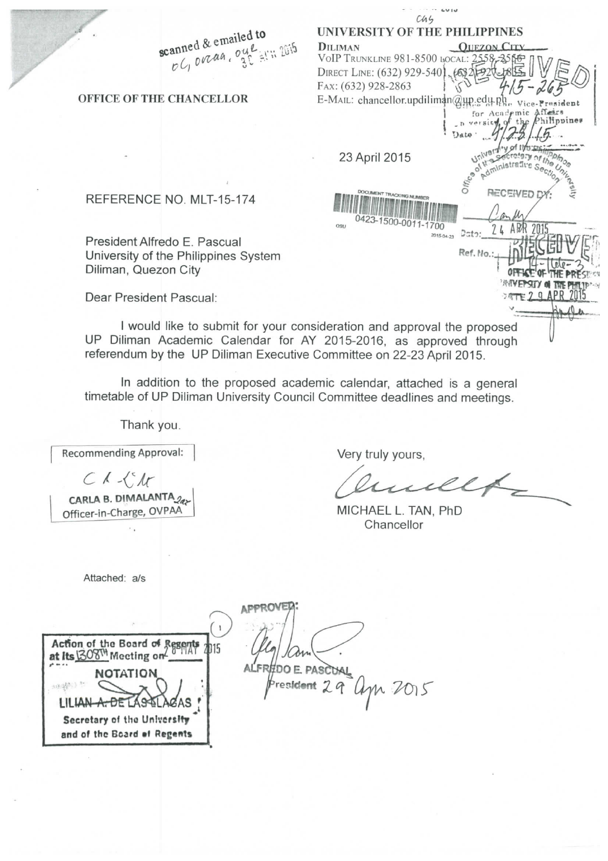|                                                                       | c4.5<br>UNIVERSITY OF THE PHILIPPINES                                   |
|-----------------------------------------------------------------------|-------------------------------------------------------------------------|
| scanned & emailed to                                                  | <b>OUEZON CITY</b><br><b>DILIMAN</b>                                    |
| OG overan, oue arm 2015                                               | VoIP TRUNKLINE 981-8500 LOCAL: 2558-3565                                |
|                                                                       | DIRECT LINE: (632) 929-5401, 6832 7920                                  |
|                                                                       | FAX: (632) 928-2863                                                     |
| OFFICE OF THE CHANCELLOR                                              | E-MAIL: chancellor.updiliman@up.edu.p<br>resident                       |
|                                                                       | for Academic Affers                                                     |
|                                                                       | the Philippines                                                         |
|                                                                       |                                                                         |
|                                                                       | 23 April 2015                                                           |
|                                                                       |                                                                         |
|                                                                       | Offic <sub>9</sub>                                                      |
| REFERENCE NO. MLT-15-174                                              | RECEIVED<br>DOCUMENT TRACKING NUMBER                                    |
|                                                                       |                                                                         |
|                                                                       | 0423-1500-0011-1700<br>OSU                                              |
| President Alfredo E. Pascual                                          | $2$ cto:<br>2015-04-23                                                  |
| University of the Philippines System                                  | Ref. No.:                                                               |
| Diliman, Quezon City                                                  |                                                                         |
|                                                                       |                                                                         |
| Dear President Pascual:                                               | 77729A                                                                  |
|                                                                       |                                                                         |
|                                                                       | I would like to submit for your consideration and approval the proposed |
| UP Diliman Academic Calendar for AY 2015-2016, as approved through    |                                                                         |
| referendum by the UP Diliman Executive Committee on 22-23 April 2015. |                                                                         |

In addition to the proposed academic calendar, attached is a general timetable of UP Diliman University Council Committee deadlines and meetings.

Thank you.

**Recommending Approval:** 

 $C$  $\Lambda$  $\left\{^{\circ}\mathcal{M}\right\}$ 

CARLA B. DIMALANTA<sub>2ax</sub> **Officer-in-Charge, OVPAA** 

Very truly yours,

ullf

MICHAEL L. TAN, PhD **Chancellor** 

**Attached: a/s** 

**APPROVED:** 

 $\overline{1}$ Action of the Board of Regents **A**<sup>16</sup> **at its 308W** Meeting on **PLACE A NOTATION**  sayages i LILIAN A. DE LASSELA **Secretary of the University** and of the Board of Regents

ALFR<sub>#DOE</sub> PASC<sub>UAL</sub> **Vesident** 29 apr 2015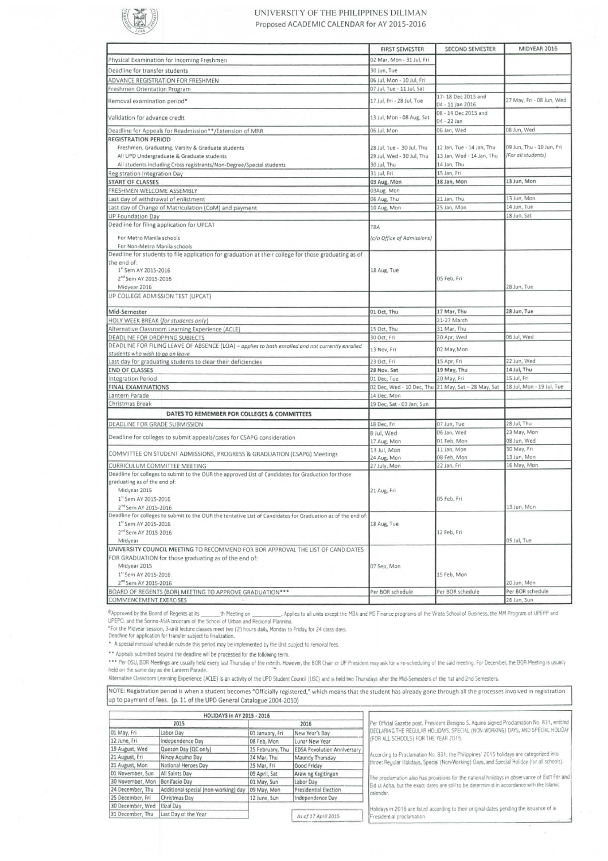

## **UNIVERSITY OF THE PHILIPPINES DILIMAN**  Proposed ACADEMIC CALENDAR for AY 2015-2016

|                                                                                                              | <b>FIRST SEMESTER</b>      | <b>SECOND SEMESTER</b>                              | MIDYEAR 2016              |
|--------------------------------------------------------------------------------------------------------------|----------------------------|-----------------------------------------------------|---------------------------|
| Physical Examination for Incoming Freshmen                                                                   | 02 Mar, Mon - 31 Jul, Fri  |                                                     |                           |
| Deadline for transfer students                                                                               | 30 Jun, Tue                |                                                     |                           |
| ADVANCE REGISTRATION FOR FRESHMEN                                                                            | 06 Jul, Mon - 10 Jul, Fri  |                                                     |                           |
| Freshmen Orientation Program                                                                                 | 07 Jul, Tue - 11 Jul, Sat  |                                                     |                           |
| Removal examination period*                                                                                  | 17 Jul, Fri - 28 Jul, Tue  | 17-18 Dec 2015 and<br>04 - 11 Jan 2016              | 27 May, Fri - 08 Jun, Wed |
| Validation for advance credit                                                                                | 13 Jul, Mon - 08 Aug, Sat  | 08 - 14 Dec 2015 and<br>04 - 22 Jan                 |                           |
| Deadline for Appeals for Readmission**/Extension of MRR                                                      | 06 Jul, Mon                | 06 Jan, Wed                                         | 08 Jun, Wed               |
| <b>REGISTRATION PERIOD</b>                                                                                   |                            |                                                     |                           |
| Freshmen, Graduating, Varsity & Graduate students                                                            | 28 Jul, Tue - 30 Jul, Thu  | 12 Jan, Tue - 14 Jan, Thu                           | 09 Jun, Thu - 10 Jun, Fri |
| All UPD Undergraduate & Graduate students                                                                    | 29 Jul, Wed - 30 Jul, Thu  | 13 Jan, Wed - 14 Jan, Thu                           | (For all students)        |
| All students including Cross registrants/Non-Degree/Special students                                         | 30 Jul, Thu                | 14 Jan, Thu                                         |                           |
| Registration Integration Day                                                                                 | 31 Jul, Fri                | 15 Jan, Fri                                         |                           |
| <b>START OF CLASSES</b>                                                                                      | 03 Aug, Mon                | 18 Jan, Mon                                         | 13 Jun, Mon               |
| FRESHMEN WELCOME ASSEMBLY                                                                                    | 03Aug. Mon                 |                                                     |                           |
| Last day of withdrawal of enlistment                                                                         | 06 Aug, Thu                | 21 Jan, Thu                                         | 13 Jun, Mon               |
| Last day of Change of Matriculation (CoM) and payment                                                        | 10 Aug, Mon                | 25 Jan, Mon                                         | 14 Jun, Tue               |
| <b>UP Foundation Day</b>                                                                                     |                            |                                                     | 18 Jun, Sat               |
| Deadline for filing application for UPCAT                                                                    | TBA                        |                                                     |                           |
|                                                                                                              |                            |                                                     |                           |
| For Metro Manila schools                                                                                     | (c/o Office of Admissions) |                                                     |                           |
| For Non-Metro Manila schools                                                                                 |                            |                                                     |                           |
| Deadline for students to file application for graduation at their college for those graduating as of         |                            |                                                     |                           |
| the end of:<br>1" Sem AY 2015-2016                                                                           |                            |                                                     |                           |
| 2 <sup>nd</sup> Sem AY 2015-2016                                                                             | 18 Aug, Tue                | 05 Feb, Fri                                         |                           |
|                                                                                                              |                            |                                                     | 28 Jun, Tue               |
| Midyear 2016                                                                                                 |                            |                                                     |                           |
| UP COLLEGE ADMISSION TEST (UPCAT)                                                                            |                            |                                                     |                           |
| Mid-Semester                                                                                                 | 01 Oct, Thu                | 17 Mar, Thu                                         | 28 Jun, Tue               |
| HOLY WEEK BREAK (for students only)                                                                          |                            | 21-27 March                                         |                           |
| Alternative Classroom Learning Experience (ACLE)                                                             | 15 Oct, Thu                | 31 Mar. Thu                                         |                           |
| DEADLINE FOR DROPPING SUBJECTS                                                                               | 30 Oct, Fri                | 20 Apr, Wed                                         | 06 Jul, Wed               |
| DEADLINE FOR FILING LEAVE OF ABSENCE (LOA) - applies to both enrolled and not currently enrolled             |                            |                                                     |                           |
| students who wish to go on leave                                                                             | 13 Nov, Fri                | 02 May, Mon                                         |                           |
| Last day for graduating students to clear their deficiencies                                                 | 23 Oct, Fri                | 15 Apr, Fri                                         | 22 Jun, Wed               |
| <b>END OF CLASSES</b>                                                                                        | 28 Nov. Sat                | 19 May, Thu                                         | 14 Jul, Thu               |
| Integration Period                                                                                           | 01 Dec, Tue                | 20 May, Fri                                         | 15 Jul, Fri               |
| FINAL EXAMINATIONS                                                                                           |                            | 02 Dec, Wed - 10 Dec, Thu 21 May, Sat - 28 May, Sat | 18 Jul, Mon - 19 Jul, Tue |
| Lantern Parade                                                                                               | 14 Dec, Mon                |                                                     |                           |
| Christmas Break                                                                                              | 19 Dec, Sat - 03 Jan, Sun  |                                                     |                           |
| DATES TO REMEMBER FOR COLLEGES & COMMITTEES                                                                  |                            |                                                     |                           |
| DEADLINE FOR GRADE SUBMISSION                                                                                | 18 Dec, Fri                | 07 Jun, Tue                                         | 28 Jul, Thu               |
|                                                                                                              | 8 Jul, Wed                 | 06 Jan, Wed                                         | 23 May, Mon               |
| Deadline for colleges to submit appeals/cases for CSAPG consideration                                        | 17 Aug, Mon                | 01 Feb, Mon                                         | 08 Jun, Wed               |
|                                                                                                              | 13 Jul, Mon                | 11 Jan, Mon                                         | 30 May, Fri               |
| COMMITTEE ON STUDENT ADMISSIONS, PROGRESS & GRADUATION (CSAPG) Meetings                                      | 24 Aug, Mon                | 08 Feb, Mon                                         | 13 Jun, Mon               |
| CURRICULUM COMMITTEE MEETING                                                                                 | 27 July, Mon               | 22 Jan, Fri                                         | 16 May, Mon               |
| Deadline for colleges to submit to the OUR the approved List of Candidates for Graduation for those          |                            |                                                     |                           |
| graduating as of the end of:                                                                                 |                            |                                                     |                           |
| Midyear 2015                                                                                                 | 21 Aug, Fri                |                                                     |                           |
| 1 <sup>st</sup> Sem AY 2015-2016                                                                             |                            | 05 Feb, Fri                                         |                           |
| 2 <sup>nd</sup> Sem AY 2015-2016                                                                             |                            |                                                     | 13 Jun, Mon               |
| Deadline for colleges to submit to the OUR the tentative List of Candidates for Graduation as of the end of: |                            |                                                     |                           |
| 1 <sup>st</sup> Sem AY 2015-2016                                                                             | 18 Aug, Tue                |                                                     |                           |
| 2 <sup>nd</sup> Sem AY 2015-2016                                                                             |                            | 12 Feb, Fri                                         |                           |
| Midyear                                                                                                      |                            |                                                     | 05 Jul, Tue               |
| UNIVERSITY COUNCIL MEETING TO RECOMMEND FOR BOR APPROVAL THE LIST OF CANDIDATES                              |                            |                                                     |                           |
| FOR GRADUATION for those graduating as of the end of:                                                        |                            |                                                     |                           |
| Midyear 2015                                                                                                 | 07 Sep, Mon                |                                                     |                           |
| 1 <sup>1</sup> Sem AY 2015-2016                                                                              |                            | 15 Feb, Mon                                         |                           |
| 2 <sup>nd</sup> Sem AY 2015-2016                                                                             |                            |                                                     | 20 Jun, Mon               |
| BOARD OF REGENTS (BOR) MEETING TO APPROVE GRADUATION ***                                                     | Per BOR schedule           | Per BOR schedule                                    | Per BOR schedule          |
| COMMENCEMENT EXERCISES                                                                                       |                            |                                                     | 26 Jun, Sun               |

 $e_{\text{Approved}}$  by the Board of Regents at its \_\_\_\_\_\_\_th Meeting on \_\_\_\_\_\_\_\_\_\_. Applies to all units except the MBA and MS Finance programs of the Virata School of Business, the MM Program of UPEPP and UPEPO, and the Sorina-ASIA program of the School of Urban and Regional Planning.

° For the Midyear session, 3-unit lecture classes meet two (2) hours daily, Monday to Friday, for 24 class days.<br>Deadline for application for transfer subject to finalization.

\* A special removal schedule outside this period may be implemented by the Unit subject to removal fees.

\*\* Appeals submitted beyond the deadline will be processed for the following term.

\*\*\* Per OSU, BOR Meetings are usually held every last Thursday of the manth. However, the BOR Chair or UP President may ask for a re-scheduling of the said meeting. For December, the BOR Meeting is usually

Alternative Classroom Learning Experience (ACLE) is an activity of the UPD Student Council (USC) and is held two Thursdays after the Mid-Semesters of the 1st and 2nd Semesters.

NOTE: Registration period is when a student becomes "Officially registered," which means that the student has already gone through a'l the processes involved in registration up to payment of fees. (p. 11 of the UPD General Catalogue 2004-2010)

| HOLIDAYS in AY 2015 - 2016 |                                      |                  |                                    |                                                                                                |  |  |  |  |
|----------------------------|--------------------------------------|------------------|------------------------------------|------------------------------------------------------------------------------------------------|--|--|--|--|
|                            | 2015                                 | 2016             |                                    | Per Official Gazette post, President Benigno S. Aquino signed Proclamation No. 831, entitled   |  |  |  |  |
| 01 May, Fri                | Labor Day                            | 01 January, Fri  | New Year's Day                     | DECLARING THE REGULAR HOLIDAYS, SPECIAL (NON-WORKING) DAYS, AND SPECIAL HOLIDAY                |  |  |  |  |
| 12 June, Fri               | Independence Day                     | 08 Feb, Mon      | Lunar New Year                     | (FOR ALL SCHOOLS) FOR THE YEAR 2015.                                                           |  |  |  |  |
| 19 August, Wed             | Quezon Day (QC only)                 | 25 February, Thu | <b>EDSA Revolution Anniversary</b> |                                                                                                |  |  |  |  |
| 21 August, Fri             | Ninov Aguino Day                     | 24 Mar, Thu      | Maundy Thursday                    | According to Proclamation No. 831, the Philippines' 2015 holidays are categorized into         |  |  |  |  |
| 31 August, Mon             | National Heroes Day                  | 25 Mar, Fri      | Good Friday                        | three: Regular Holidays, Special (Non-Working) Days, and Special Holiday (for all schools).    |  |  |  |  |
| 01 November, Sun           | All Saints Day                       | 09 April, Sat    | Araw ng Kagitingan                 | The proclamation also has provisions for the national holidays in observance of Eid'l Fitr and |  |  |  |  |
| 30 November, Mon           | Bonifacio Dav                        | 01 May, Sun      | Labor Day                          | Eid ul Adha, but the exact dates are still to be determined in accordance with the Islamic     |  |  |  |  |
| 24 December, Thu           | Additional special (non-working) day | 09 May, Mon      | Presidential Election              | calendar.                                                                                      |  |  |  |  |
| 25 December, Fri           | Christmas Day                        | 12 June, Sun     | Independence Day                   |                                                                                                |  |  |  |  |
| 30 December, Wed           | Eizal Day                            |                  |                                    | Holidays in 2016 are listed according to their original dates pending the issuance of a        |  |  |  |  |
| 31 December, Thu           | Last Day of the Year                 |                  | As of 17 April 2015                | Fresidential proclamation.                                                                     |  |  |  |  |